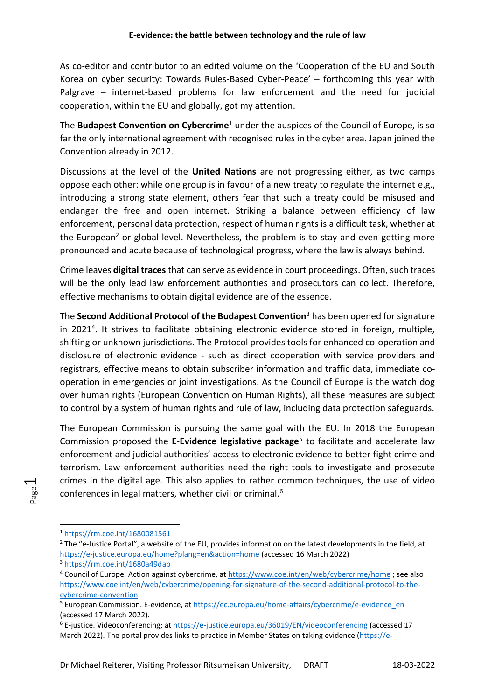As co-editor and contributor to an edited volume on the 'Cooperation of the EU and South Korea on cyber security: Towards Rules-Based Cyber-Peace' – forthcoming this year with Palgrave – internet-based problems for law enforcement and the need for judicial cooperation, within the EU and globally, got my attention.

The **Budapest Convention on Cybercrime**<sup>1</sup> under the auspices of the Council of Europe, is so far the only international agreement with recognised rules in the cyber area. Japan joined the Convention already in 2012.

Discussions at the level of the **United Nations** are not progressing either, as two camps oppose each other: while one group is in favour of a new treaty to regulate the internet e.g., introducing a strong state element, others fear that such a treaty could be misused and endanger the free and open internet. Striking a balance between efficiency of law enforcement, personal data protection, respect of human rights is a difficult task, whether at the European<sup>2</sup> or global level. Nevertheless, the problem is to stay and even getting more pronounced and acute because of technological progress, where the law is always behind.

Crime leaves **digital traces** that can serve as evidence in court proceedings. Often, such traces will be the only lead law enforcement authorities and prosecutors can collect. Therefore, effective mechanisms to obtain digital evidence are of the essence.

The **Second Additional Protocol of the Budapest Convention**<sup>3</sup> has been opened for signature in 2021<sup>4</sup>. It strives to facilitate obtaining electronic evidence stored in foreign, multiple, shifting or unknown jurisdictions. The Protocol provides tools for enhanced co-operation and disclosure of electronic evidence - such as direct cooperation with service providers and registrars, effective means to obtain subscriber information and traffic data, immediate cooperation in emergencies or joint investigations. As the Council of Europe is the watch dog over human rights (European Convention on Human Rights), all these measures are subject to control by a system of human rights and rule of law, including data protection safeguards.

The European Commission is pursuing the same goal with the EU. In 2018 the European Commission proposed the **E-Evidence legislative package**<sup>5</sup> to facilitate and accelerate law enforcement and judicial authorities' access to electronic evidence to better fight crime and terrorism. Law enforcement authorities need the right tools to investigate and prosecute crimes in the digital age. This also applies to rather common techniques, the use of video conferences in legal matters, whether civil or criminal.<sup>6</sup>

<sup>1</sup> <https://rm.coe.int/1680081561>

<sup>&</sup>lt;sup>2</sup> The "e-Justice Portal", a website of the EU, provides information on the latest developments in the field, at <https://e-justice.europa.eu/home?plang=en&action=home> (accessed 16 March 2022) <sup>3</sup> <https://rm.coe.int/1680a49dab>

<sup>&</sup>lt;sup>4</sup> Council of Europe. Action against cybercrime, at <https://www.coe.int/en/web/cybercrime/home>; see also [https://www.coe.int/en/web/cybercrime/opening-for-signature-of-the-second-additional-protocol-to-the](https://www.coe.int/en/web/cybercrime/opening-for-signature-of-the-second-additional-protocol-to-the-cybercrime-convention)[cybercrime-convention](https://www.coe.int/en/web/cybercrime/opening-for-signature-of-the-second-additional-protocol-to-the-cybercrime-convention)

<sup>&</sup>lt;sup>5</sup> European Commission. E-evidence, at [https://ec.europa.eu/home-affairs/cybercrime/e-evidence\\_en](https://ec.europa.eu/home-affairs/cybercrime/e-evidence_en) (accessed 17 March 2022).

<sup>6</sup> E-justice. Videoconferencing; a[t https://e-justice.europa.eu/36019/EN/videoconferencing](https://e-justice.europa.eu/36019/EN/videoconferencing) (accessed 17 March 2022). The portal provides links to practice in Member States on taking evidence [\(https://e-](https://e-justice.europa.eu/405/EN/taking_evidence_by_videoconference)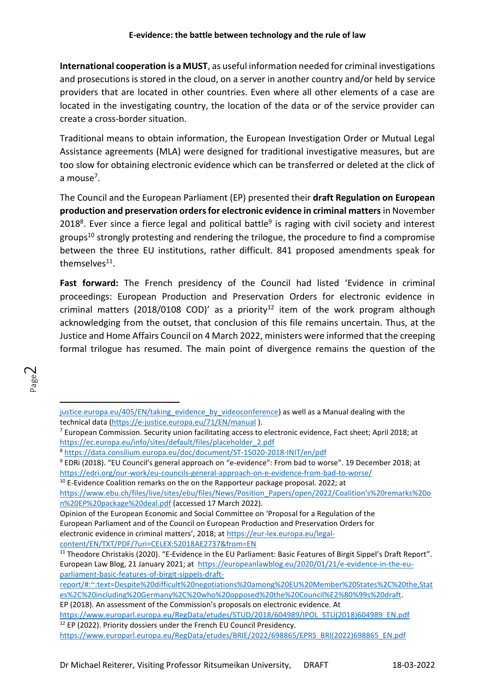**International cooperation is a MUST**, as useful information needed for criminal investigations and prosecutions is stored in the cloud, on a server in another country and/or held by service providers that are located in other countries. Even where all other elements of a case are located in the investigating country, the location of the data or of the service provider can create a cross-border situation.

Traditional means to obtain information, the European Investigation Order or Mutual Legal Assistance agreements (MLA) were designed for traditional investigative measures, but are too slow for obtaining electronic evidence which can be transferred or deleted at the click of a mouse<sup>7</sup>.

The Council and the European Parliament (EP) presented their **draft Regulation on European production and preservation orders for electronic evidence in criminal matters** in November 2018<sup>8</sup>. Ever since a fierce legal and political battle<sup>9</sup> is raging with civil society and interest groups<sup>10</sup> strongly protesting and rendering the trilogue, the procedure to find a compromise between the three EU institutions, rather difficult. 841 proposed amendments speak for themselves<sup>11</sup>.

**Fast forward:** The French presidency of the Council had listed 'Evidence in criminal proceedings: European Production and Preservation Orders for electronic evidence in criminal matters (2018/0108 COD)' as a priority<sup>12</sup> item of the work program although acknowledging from the outset, that conclusion of this file remains uncertain. Thus, at the Justice and Home Affairs Council on 4 March 2022, ministers were informed that the creeping formal trilogue has resumed. The main point of divergence remains the question of the

[https://www.ebu.ch/files/live/sites/ebu/files/News/Position\\_Papers/open/2022/Coalition's%20remarks%20o](https://www.ebu.ch/files/live/sites/ebu/files/News/Position_Papers/open/2022/Coalition) [n%20EP%20package%20deal.pdf](https://www.ebu.ch/files/live/sites/ebu/files/News/Position_Papers/open/2022/Coalition) (accessed 17 March 2022).

[justice.europa.eu/405/EN/taking\\_evidence\\_by\\_videoconference\)](https://e-justice.europa.eu/405/EN/taking_evidence_by_videoconference) as well as a Manual dealing with the technical data [\(https://e-justice.europa.eu/71/EN/manual](https://e-justice.europa.eu/71/EN/manual) ).

<sup>&</sup>lt;sup>7</sup> European Commission. Security union facilitating access to electronic evidence, Fact sheet; April 2018; at [https://ec.europa.eu/info/sites/default/files/placeholder\\_2.pdf](https://ec.europa.eu/info/sites/default/files/placeholder_2.pdf)

<sup>8</sup> <https://data.consilium.europa.eu/doc/document/ST-15020-2018-INIT/en/pdf>

<sup>9</sup> EDRi (2018). "EU Council's general approach on "e-evidence": From bad to worse". 19 December 2018; at <https://edri.org/our-work/eu-councils-general-approach-on-e-evidence-from-bad-to-worse/>

 $10$  E-Evidence Coalition remarks on the on the Rapporteur package proposal. 2022; at

Opinion of the European Economic and Social Committee on 'Proposal for a Regulation of the European Parliament and of the Council on European Production and Preservation Orders for electronic evidence in criminal matters', 2018; at [https://eur-lex.europa.eu/legal](https://eur-lex.europa.eu/legal-content/EN/TXT/PDF/?uri=CELEX:52018AE2737&from=EN)[content/EN/TXT/PDF/?uri=CELEX:52018AE2737&from=EN](https://eur-lex.europa.eu/legal-content/EN/TXT/PDF/?uri=CELEX:52018AE2737&from=EN)

<sup>&</sup>lt;sup>11</sup> Theodore Christakis (2020). "E-Evidence in the EU Parliament: Basic Features of Birgit Sippel's Draft Report". European Law Blog, 21 January 2021; at [https://europeanlawblog.eu/2020/01/21/e-evidence-in-the-eu](https://europeanlawblog.eu/2020/01/21/e-evidence-in-the-eu-parliament-basic-features-of-birgit-sippels-draft-report/#:~:text=Despite%20difficult%20negotiations%20among%20EU%20Member%20States%2C%20the,States%2C%20including%20Germany%2C%20who%20opposed%20the%20Council%E2%80%99s%20draft)[parliament-basic-features-of-birgit-sippels-draft-](https://europeanlawblog.eu/2020/01/21/e-evidence-in-the-eu-parliament-basic-features-of-birgit-sippels-draft-report/#:~:text=Despite%20difficult%20negotiations%20among%20EU%20Member%20States%2C%20the,States%2C%20including%20Germany%2C%20who%20opposed%20the%20Council%E2%80%99s%20draft)

[report/#:~:text=Despite%20difficult%20negotiations%20among%20EU%20Member%20States%2C%20the,Stat](https://europeanlawblog.eu/2020/01/21/e-evidence-in-the-eu-parliament-basic-features-of-birgit-sippels-draft-report/#:~:text=Despite%20difficult%20negotiations%20among%20EU%20Member%20States%2C%20the,States%2C%20including%20Germany%2C%20who%20opposed%20the%20Council%E2%80%99s%20draft) [es%2C%20including%20Germany%2C%20who%20opposed%20the%20Council%E2%80%99s%20draft.](https://europeanlawblog.eu/2020/01/21/e-evidence-in-the-eu-parliament-basic-features-of-birgit-sippels-draft-report/#:~:text=Despite%20difficult%20negotiations%20among%20EU%20Member%20States%2C%20the,States%2C%20including%20Germany%2C%20who%20opposed%20the%20Council%E2%80%99s%20draft)

EP (2018). An assessment of the Commission's proposals on electronic evidence. At

[https://www.europarl.europa.eu/RegData/etudes/STUD/2018/604989/IPOL\\_STU\(2018\)604989\\_EN.pdf](https://www.europarl.europa.eu/RegData/etudes/STUD/2018/604989/IPOL_STU(2018)604989_EN.pdf) <sup>12</sup> EP (2022). Priority dossiers under the French EU Council Presidency.

[https://www.europarl.europa.eu/RegData/etudes/BRIE/2022/698865/EPRS\\_BRI\(2022\)698865\\_EN.pdf](https://www.europarl.europa.eu/RegData/etudes/BRIE/2022/698865/EPRS_BRI(2022)698865_EN.pdf)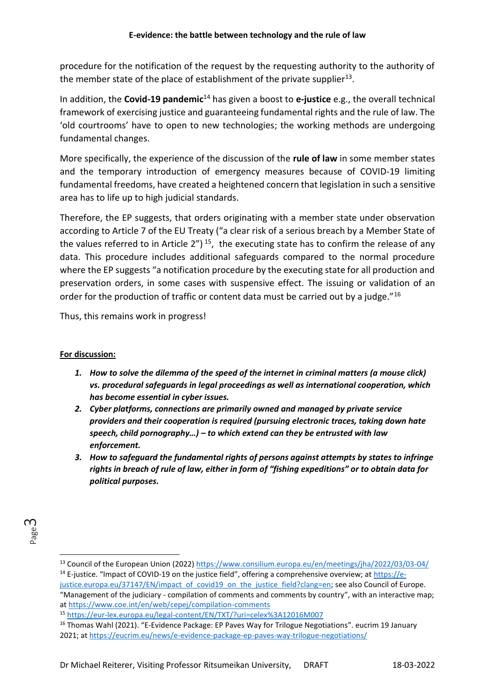procedure for the notification of the request by the requesting authority to the authority of the member state of the place of establishment of the private supplier<sup>13</sup>.

In addition, the **Covid-19 pandemic**<sup>14</sup> has given a boost to **e-justice** e.g., the overall technical framework of exercising justice and guaranteeing fundamental rights and the rule of law. The 'old courtrooms' have to open to new technologies; the working methods are undergoing fundamental changes.

More specifically, the experience of the discussion of the **rule of law** in some member states and the temporary introduction of emergency measures because of COVID-19 limiting fundamental freedoms, have created a heightened concern that legislation in such a sensitive area has to life up to high judicial standards.

Therefore, the EP suggests, that orders originating with a member state under observation according to Article 7 of the EU Treaty ("a clear risk of a serious breach by a Member State of the values referred to in Article  $2'$ )<sup>15</sup>, the executing state has to confirm the release of any data. This procedure includes additional safeguards compared to the normal procedure where the EP suggests "a notification procedure by the executing state for all production and preservation orders, in some cases with suspensive effect. The issuing or validation of an order for the production of traffic or content data must be carried out by a judge."<sup>16</sup>

Thus, this remains work in progress!

## **For discussion:**

- *1. How to solve the dilemma of the speed of the internet in criminal matters (a mouse click) vs. procedural safeguards in legal proceedings as well as international cooperation, which has become essential in cyber issues.*
- *2. Cyber platforms, connections are primarily owned and managed by private service providers and their cooperation is required (pursuing electronic traces, taking down hate speech, child pornography…) – to which extend can they be entrusted with law enforcement.*
- *3. How to safeguard the fundamental rights of persons against attempts by states to infringe rights in breach of rule of law, either in form of "fishing expeditions" or to obtain data for political purposes.*

<sup>13</sup> Council of the European Union (2022)<https://www.consilium.europa.eu/en/meetings/jha/2022/03/03-04/>

<sup>&</sup>lt;sup>14</sup> E-justice. "Impact of COVID-19 on the justice field", offering a comprehensive overview; at [https://e](https://e-justice.europa.eu/37147/EN/impact_of_covid19_on_the_justice_field?clang=en)[justice.europa.eu/37147/EN/impact\\_of\\_covid19\\_on\\_the\\_justice\\_field?clang=en;](https://e-justice.europa.eu/37147/EN/impact_of_covid19_on_the_justice_field?clang=en) see also Council of Europe. "Management of the judiciary - compilation of comments and comments by country", with an interactive map; a[t https://www.coe.int/en/web/cepej/compilation-comments](https://www.coe.int/en/web/cepej/compilation-comments)

<sup>15</sup> <https://eur-lex.europa.eu/legal-content/EN/TXT/?uri=celex%3A12016M007>

<sup>&</sup>lt;sup>16</sup> Thomas Wahl (2021). "E-Evidence Package: EP Paves Way for Trilogue Negotiations". eucrim 19 January 2021; a[t https://eucrim.eu/news/e-evidence-package-ep-paves-way-trilogue-negotiations/](https://eucrim.eu/news/e-evidence-package-ep-paves-way-trilogue-negotiations/)